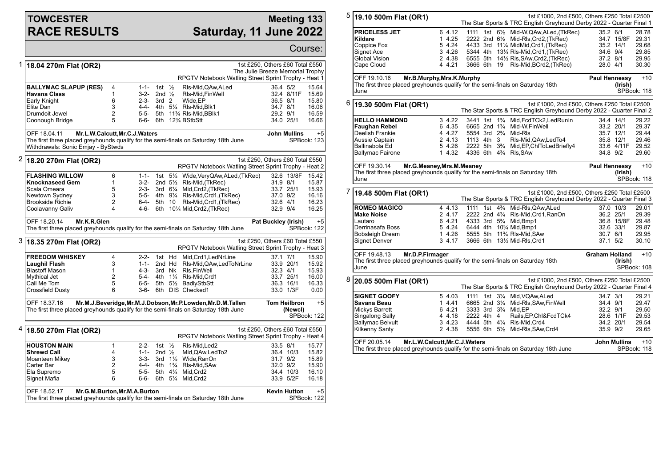## **TOWCESTER RACE RESULTS**

## **Meeting 133 Saturday, 11 June 2022**

|   |                                                                                                                                                             |                            |              |                   |                    |                                                      |                                 |                     | Course:            |  |
|---|-------------------------------------------------------------------------------------------------------------------------------------------------------------|----------------------------|--------------|-------------------|--------------------|------------------------------------------------------|---------------------------------|---------------------|--------------------|--|
| 1 | 18.04 270m Flat (OR2)<br>1st £250, Others £60 Total £550<br>The Julie Breeze Memorial Trophy                                                                |                            |              |                   |                    |                                                      |                                 |                     |                    |  |
|   |                                                                                                                                                             |                            |              |                   |                    | RPGTV Notebook Watling Street Sprint Trophy - Heat 1 |                                 |                     |                    |  |
|   | <b>BALLYMAC SLAPUP (RES)</b>                                                                                                                                | 4                          | 1-1-         | 1st $\frac{1}{2}$ |                    | RIs-Mid,QAw,ALed                                     | 36.4 5/2                        |                     | 15.64              |  |
|   | <b>Havana Class</b>                                                                                                                                         | 1                          | $3-2-$       | 2nd $\frac{1}{2}$ |                    | RIs-Mid, Fin Well                                    |                                 | 32.4 8/11F          | 15.69              |  |
|   | Early Knight<br>Elite Dan                                                                                                                                   | 6<br>3                     | 2-3-<br>4-4- | 3rd <sub>2</sub>  |                    | Wide, EP<br>4th 51/4 RIs-Mid, Blk1                   | 36.5 8/1                        |                     | 15.80<br>16.06     |  |
|   | Drumdoit Jewel                                                                                                                                              | $\overline{2}$             | $5 - 5 -$    |                   |                    | 5th 11% RIs-Mid.BBlk1                                | 34.7 8/1<br>29.2 9/1            |                     | 16.59              |  |
|   | Coonough Bridge                                                                                                                                             | 5                          | 6-6-         |                   |                    | 6th 12% BStbStt                                      |                                 | 34.0 25/1           | 16.66              |  |
|   |                                                                                                                                                             |                            |              |                   |                    |                                                      |                                 |                     |                    |  |
|   | OFF 18.04.11<br>Mr.L.W.Calcutt, Mr.C.J.Waters<br><b>John Mullins</b><br>The first three placed greyhounds qualify for the semi-finals on Saturday 18th June |                            |              |                   |                    |                                                      |                                 |                     | $+5$               |  |
|   | Withdrawals: Sonic Emjay - ByStwds                                                                                                                          |                            |              |                   |                    |                                                      |                                 |                     | SPBook: 123        |  |
| 2 | 18.20 270m Flat (OR2)                                                                                                                                       |                            |              |                   |                    |                                                      | 1st £250, Others £60 Total £550 |                     |                    |  |
|   |                                                                                                                                                             |                            |              |                   |                    | RPGTV Notebook Watling Street Sprint Trophy - Heat 2 |                                 |                     |                    |  |
|   | <b>FLASHING WILLOW</b>                                                                                                                                      | 6                          | $1 - 1 -$    |                   |                    | 1st 5½ Wide, Very QAw, ALed, (TkRec)                 |                                 | 32.6 13/8F          | 15.42              |  |
|   | <b>Knocknaseed Gem</b>                                                                                                                                      | 1                          | 3-2-         |                   |                    | 2nd 5 <sup>1</sup> / <sub>2</sub> RIs-Mid, (TkRec)   | 31.9 8/1                        |                     | 15.87              |  |
|   | Scala Omeara                                                                                                                                                | 5                          | 2-3-         |                   |                    | 3rd 61/4 Mid, Crd2, (TkRec)                          |                                 | 33.7 25/1           | 15.93              |  |
|   | Newtown Sydney                                                                                                                                              | 3                          |              |                   |                    | 5-5- 4th 91/4 RIs-Mid, Crd1, (TkRec)                 | 37.0 9/2                        |                     | 16.16              |  |
|   | <b>Brookside Richie</b>                                                                                                                                     | 2                          | 6-4-         | 5th 10            |                    | RIs-Mid, Crd1, (TkRec)                               | 32.6 4/1                        |                     | 16.23              |  |
|   | Coolavanny Galiv                                                                                                                                            | 4                          | 4-6-         | 6th               |                    | 101⁄4 Mid,Crd2,(TkRec)                               | 32.9 9/4                        |                     | 16.25              |  |
|   | OFF 18.20.14<br>Mr.K.R.Glen                                                                                                                                 | <b>Pat Buckley (Irish)</b> |              | $+5$              |                    |                                                      |                                 |                     |                    |  |
|   | The first three placed greyhounds qualify for the semi-finals on Saturday 18th June                                                                         |                            |              |                   |                    |                                                      |                                 |                     | <b>SPBook: 122</b> |  |
|   | 3 18.35 270m Flat (OR2)                                                                                                                                     |                            |              |                   |                    | RPGTV Notebook Watling Street Sprint Trophy - Heat 3 | 1st £250, Others £60 Total £550 |                     |                    |  |
|   | <b>FREEDOM WHISKEY</b>                                                                                                                                      | 4                          | $2 - 2 -$    |                   | 1st Hd             | Mid, Crd1, LedNrLine                                 | 37.1 7/1                        |                     | 15.90              |  |
|   | Laughil Flash                                                                                                                                               | 3                          | $1 - 1 -$    |                   | 2nd Hd             | RIs-Mid, QAw, Led ToNrLine                           |                                 | 33.9 20/1           | 15.92              |  |
|   | <b>Blastoff Mason</b>                                                                                                                                       | 1                          | $4 - 3 -$    | 3rd Nk            |                    | RIs.FinWell                                          | $32.3$ 4/1                      |                     | 15.93              |  |
|   | Mythical Jet                                                                                                                                                | $\overline{2}$             |              |                   |                    | 5-4- 4th 11/4 RIs-Mid, Crd1                          |                                 | 33.7 25/1           | 16.00              |  |
|   | Call Me Tom                                                                                                                                                 | 5                          | 6-5-         |                   |                    | 5th 51/2 BadlyStbStt                                 |                                 | 36.3 16/1           | 16.33              |  |
|   | Crossfield Dusty                                                                                                                                            | 6                          | 3-6-         | 6th               |                    | DIS Checked1                                         |                                 | 33.0 1/3F           | 0.00               |  |
|   | OFF 18.37.16<br>Mr.M.J.Beveridge, Mr.M.J.Dobson, Mr.P.Lowden, Mr.D.M. Tallen<br><b>Tom Heilbron</b><br>$+5$                                                 |                            |              |                   |                    |                                                      |                                 |                     |                    |  |
|   | The first three placed greyhounds qualify for the semi-finals on Saturday 18th June                                                                         |                            |              |                   |                    |                                                      |                                 | (Newcl)             | SPBook: 122        |  |
| 4 |                                                                                                                                                             |                            |              |                   |                    |                                                      | 1st £250, Others £60 Total £550 |                     |                    |  |
|   | 18.50 270m Flat (OR2)                                                                                                                                       |                            |              |                   |                    | RPGTV Notebook Watling Street Sprint Trophy - Heat 4 |                                 |                     |                    |  |
|   | <b>HOUSTON MAIN</b>                                                                                                                                         | $\mathbf{1}$               | $2 - 2 -$    | 1st $\frac{1}{2}$ |                    | RIs-Mid.Led2                                         | 33.5 8/1                        |                     | 15.77              |  |
|   | <b>Shrewd Call</b>                                                                                                                                          | 4                          | $1 - 1 -$    | 2nd $\frac{1}{2}$ |                    | Mid, QAw, Led To 2                                   |                                 | 36.4 10/3           | 15.82              |  |
|   | Moanteen Mikey                                                                                                                                              | 3                          | $3 - 3 -$    |                   | 3rd $1\frac{1}{2}$ | Wide.RanOn                                           | 31.7 9/2                        |                     | 15.89              |  |
|   | Carter Bar                                                                                                                                                  | $\overline{2}$             |              |                   |                    | 4-4- 4th 1 <sup>3</sup> / <sub>4</sub> RIs-Mid, SAw  | 32.0 9/2                        |                     | 15.90              |  |
|   | Ela Supremo                                                                                                                                                 | 5                          | $5-5-$       |                   | 5th 41⁄4           | Mid,Crd2                                             |                                 | 34.4 10/3           | 16.10              |  |
|   | Signet Mafia                                                                                                                                                | 6                          | 6-6-         |                   | 6th 51⁄4           | Mid, Crd2                                            |                                 | 33.9 5/2F           | 16.18              |  |
|   | OFF 18.52.17<br>Mr.G.M.Burton, Mr.M.A.Burton                                                                                                                |                            |              |                   |                    |                                                      |                                 | <b>Kevin Hutton</b> | $+5$               |  |
|   | The first three placed greyhounds qualify for the semi-finals on Saturday 18th June                                                                         |                            |              |                   |                    |                                                      |                                 |                     | SPBook: 122        |  |

| 5 | 19.10 500m Flat (OR1)                                                                                                                                                                 |                                                          |                                                                                                                                         |  | 1st £1000, 2nd £500, Others £250 Total £2500<br>The Star Sports & TRC English Greyhound Derby 2022 - Quarter Final 1                                                                                                                                          |                                              |                                                                |                                                    |
|---|---------------------------------------------------------------------------------------------------------------------------------------------------------------------------------------|----------------------------------------------------------|-----------------------------------------------------------------------------------------------------------------------------------------|--|---------------------------------------------------------------------------------------------------------------------------------------------------------------------------------------------------------------------------------------------------------------|----------------------------------------------|----------------------------------------------------------------|----------------------------------------------------|
|   | <b>PRICELESS JET</b><br>Kildare<br>Coppice Fox<br>Signet Ace<br>Global Vision<br>Cape Cloud                                                                                           | 6 4.12<br>14.25<br>5 4.24<br>3 4.26<br>2 4.38<br>4 4.21  |                                                                                                                                         |  | 1111 1st 61/ <sub>2</sub> Mid-W, QAw, ALed, (TkRec)<br>2222 2nd 61/2 Mid-RIs, Crd2, (TkRec)<br>4433 3rd 111/4 MidMid, Crd1, (TkRec)<br>5344 4th 131/4 RIs-Mid, Crd1, (TkRec)<br>6555 5th 141/2 RIs, SAw, Crd2, (TkRec)<br>3666 6th 19 RIs-Mid, BCrd2, (TkRec) | 35.2 6/1<br>34.6 9/4<br>37.2 8/1<br>28.0 4/1 | 34.7 15/8F<br>35.2 14/1                                        | 28.78<br>29.31<br>29.68<br>29.85<br>29.95<br>30.30 |
|   | Mr.B.Murphy, Mrs.K.Murphy<br>OFF 19.10.16<br><b>Paul Hennessy</b><br>The first three placed greyhounds qualify for the semi-finals on Saturday 18th<br>(Irish)<br>SPBook: 118<br>June |                                                          |                                                                                                                                         |  |                                                                                                                                                                                                                                                               |                                              |                                                                | $+10$                                              |
|   | $6$ 19.30 500m Flat (OR1)<br>1st £1000, 2nd £500, Others £250 Total £2500<br>The Star Sports & TRC English Greyhound Derby 2022 - Quarter Final 2                                     |                                                          |                                                                                                                                         |  |                                                                                                                                                                                                                                                               |                                              |                                                                |                                                    |
|   | <b>HELLO HAMMOND</b><br><b>Faughan Rebel</b><br>Deelish Frankie<br>Aussie Captain<br>Ballinabola Ed<br>Ballymac Fairone                                                               | 3 4.22<br>6 4.35<br>4 4.27<br>2 4.13<br>5 4.26<br>1 4.32 | 5554 3rd 23/4 Mid-RIs<br>1113 4th 3<br>4336 6th 43/4 RIs, SAw                                                                           |  | 3441 1st 1 <sup>3</sup> / <sub>4</sub> Mid, FcdTCk2, Led Run In<br>6665 2nd 1 <sup>3</sup> / <sub>4</sub> Mid-W.FinWell<br>RIs-Mid, QAw, Led To4<br>2222 5th 3 <sup>3</sup> / <sub>4</sub> Mid, EP, ChITo Led Briefly 4                                       | 34.8 9/2                                     | 34.4 14/1<br>33.2 20/1<br>35.7 12/1<br>35.8 12/1<br>33.6 4/11F | 29.22<br>29.37<br>29.44<br>29.46<br>29.52<br>29.60 |
|   | OFF 19.30.14<br>Mr.G.Meaney, Mrs.M.Meaney<br>The first three placed greyhounds qualify for the semi-finals on Saturday 18th<br>June                                                   |                                                          |                                                                                                                                         |  |                                                                                                                                                                                                                                                               | <b>Paul Hennessy</b>                         | (Irish)                                                        | $+10$<br>SPBook: 118                               |
| 7 | 19.48 500m Flat (OR1)                                                                                                                                                                 |                                                          |                                                                                                                                         |  | 1st £1000, 2nd £500, Others £250 Total £2500<br>The Star Sports & TRC English Greyhound Derby 2022 - Quarter Final 3                                                                                                                                          |                                              |                                                                |                                                    |
|   | <b>ROMEO MAGICO</b><br><b>Make Noise</b><br>Lautaro<br>Derrinasafa Boss<br>Bobsleigh Dream<br>Signet Denver                                                                           | 4 4.13<br>2 4.17<br>6 4.21<br>5 4.24<br>1 4.26<br>3 4.17 | 4333 3rd 5 <sup>3</sup> / <sub>4</sub> Mid, Bmp1<br>6444 4th 10% Mid, Bmp1<br>5555 5th 11% RIs-Mid, SAw<br>3666 6th 131/2 Mid-RIs, Crd1 |  | 1111 1st 43/4 Mid-RIs, QAw, ALed<br>2222 2nd 4 <sup>3</sup> / <sub>4</sub> Rls-Mid, Crd1, RanOn                                                                                                                                                               | 30.7 6/1<br>37.1 5/2                         | 37.0 10/3<br>36.2 25/1<br>36.8 15/8F<br>32.6 33/1              | 29.01<br>29.39<br>29.48<br>29.87<br>29.95<br>30.10 |
|   | OFF 19.48.13<br>Mr.D.P.Firmager<br><b>Graham Holland</b><br>The first three placed greyhounds qualify for the semi-finals on Saturday 18th<br>June                                    |                                                          |                                                                                                                                         |  |                                                                                                                                                                                                                                                               |                                              | (Irish)                                                        | $+10$<br>SPBook: 108                               |
| 8 | 20.05 500m Flat (OR1)                                                                                                                                                                 |                                                          |                                                                                                                                         |  | 1st £1000, 2nd £500, Others £250 Total £2500<br>The Star Sports & TRC English Greyhound Derby 2022 - Quarter Final 4                                                                                                                                          |                                              |                                                                |                                                    |
|   | <b>SIGNET GOOFY</b><br>Savana Beau<br>Mickys Barrett<br>Singalong Sally<br><b>Ballymac Belvult</b><br>Kilkenny Santy                                                                  | 5 4.03<br>14.41<br>6 4.21<br>4 4.18<br>3 4.23<br>2 4.38  | 3333 3rd 3 <sup>3</sup> / <sub>4</sub> Mid.EP<br>2222 4th 4<br>4444 5th 41/4 RIs-Mid, Crd4                                              |  | 1111 1st 31/4 Mid, VQAw, ALed<br>6665 2nd 31/4 Mid-RIs, SAw, Fin Well<br>Rails, EP, Chl&FcdTCk4<br>5556 6th 51/ <sub>2</sub> Mid-RIs, SAw, Crd4                                                                                                               | 34.7 3/1<br>34.4 9/1<br>32.2 9/1<br>35.9 9/2 | 28.6 1/1F<br>34.2 20/1                                         | 29.21<br>29.47<br>29.50<br>29.53<br>29.54<br>29.65 |
|   |                                                                                                                                                                                       |                                                          |                                                                                                                                         |  |                                                                                                                                                                                                                                                               |                                              |                                                                |                                                    |